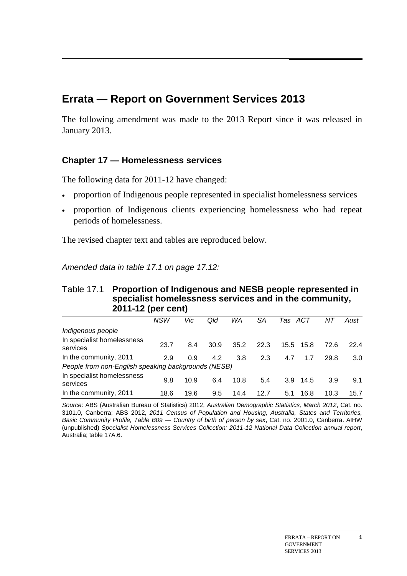# **Errata — Report on Government Services 2013**

The following amendment was made to the 2013 Report since it was released in January 2013.

### **Chapter 17 — Homelessness services**

The following data for 2011-12 have changed:

- proportion of Indigenous people represented in specialist homelessness services
- proportion of Indigenous clients experiencing homelessness who had repeat periods of homelessness.

The revised chapter text and tables are reproduced below.

*Amended data in table 17.1 on page 17.12:*

#### Table 17.1 **Proportion of Indigenous and NESB people represented in specialist homelessness services and in the community, 2011-12 (per cent)**

|                                                     | NSW  | Vic  | Qld  | WA   | SА   | Tas ACT |           | NΤ   | Aust |
|-----------------------------------------------------|------|------|------|------|------|---------|-----------|------|------|
| Indigenous people                                   |      |      |      |      |      |         |           |      |      |
| In specialist homelessness<br>services              | 23.7 | 8.4  | 30.9 | 35.2 | 22.3 |         | 15.5 15.8 | 72.6 | 22.4 |
| In the community, 2011                              | 2.9  | 0.9  | 4.2  | 3.8  | 2.3  | 4.7     | 1.7       | 29.8 | 3.0  |
| People from non-English speaking backgrounds (NESB) |      |      |      |      |      |         |           |      |      |
| In specialist homelessness<br>services              | 9.8  | 10.9 | 6.4  | 10.8 | 5.4  |         | 3.9 14.5  | 3.9  | 9.1  |
| In the community, 2011                              | 18.6 | 19.6 | 9.5  | 14.4 | 12.7 | 5.1     | 16.8      | 10.3 | 15.7 |

*Source*: ABS (Australian Bureau of Statistics) 2012, *Australian Demographic Statistics, March 2012*, Cat. no. 3101.0, Canberra; ABS 2012, *2011 Census of Population and Housing, Australia, States and Territories, Basic Community Profile, Table B09 — Country of birth of person by sex*, Cat. no. 2001.0, Canberra. AIHW (unpublished) *Specialist Homelessness Services Collection: 2011-12 National Data Collection annual report*, Australia; table 17A.6.

**1**